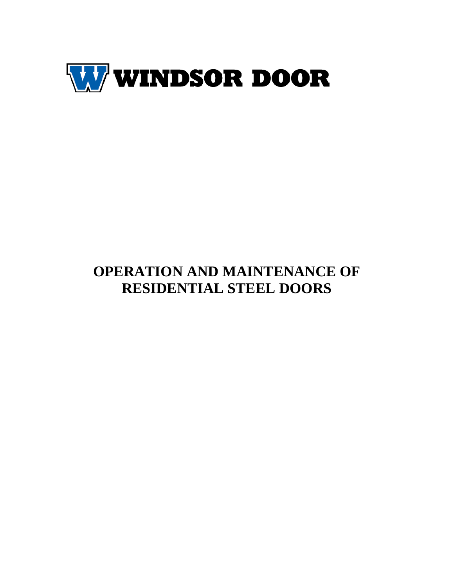

# **OPERATION AND MAINTENANCE OF RESIDENTIAL STEEL DOORS**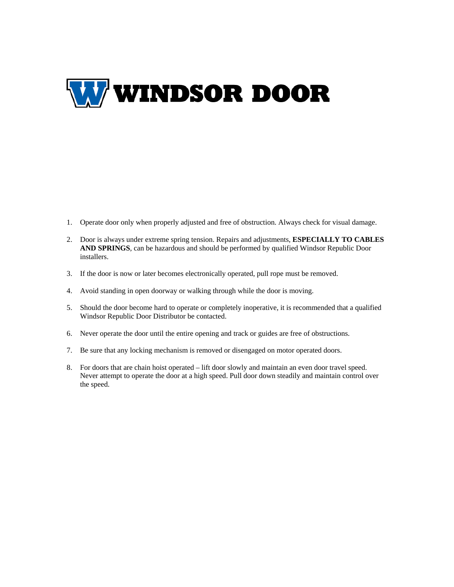

- 1. Operate door only when properly adjusted and free of obstruction. Always check for visual damage.
- 2. Door is always under extreme spring tension. Repairs and adjustments, **ESPECIALLY TO CABLES AND SPRINGS**, can be hazardous and should be performed by qualified Windsor Republic Door installers.
- 3. If the door is now or later becomes electronically operated, pull rope must be removed.
- 4. Avoid standing in open doorway or walking through while the door is moving.
- 5. Should the door become hard to operate or completely inoperative, it is recommended that a qualified Windsor Republic Door Distributor be contacted.
- 6. Never operate the door until the entire opening and track or guides are free of obstructions.
- 7. Be sure that any locking mechanism is removed or disengaged on motor operated doors.
- 8. For doors that are chain hoist operated lift door slowly and maintain an even door travel speed. Never attempt to operate the door at a high speed. Pull door down steadily and maintain control over the speed.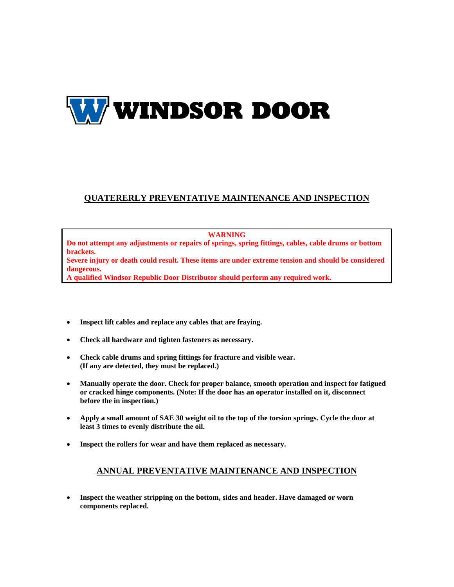

## **QUATERERLY PREVENTATIVE MAINTENANCE AND INSPECTION**

#### **WARNING**

**Do not attempt any adjustments or repairs of springs, spring fittings, cables, cable drums or bottom brackets.** 

**Severe injury or death could result. These items are under extreme tension and should be considered dangerous.** 

**A qualified Windsor Republic Door Distributor should perform any required work.** 

- **Inspect lift cables and replace any cables that are fraying.**
- **Check all hardware and tighten fasteners as necessary.**
- **Check cable drums and spring fittings for fracture and visible wear. (If any are detected, they must be replaced.)**
- **Manually operate the door. Check for proper balance, smooth operation and inspect for fatigued or cracked hinge components. (Note: If the door has an operator installed on it, disconnect before the in inspection.)**
- **Apply a small amount of SAE 30 weight oil to the top of the torsion springs. Cycle the door at least 3 times to evenly distribute the oil.**
- **Inspect the rollers for wear and have them replaced as necessary.**

### **ANNUAL PREVENTATIVE MAINTENANCE AND INSPECTION**

 **Inspect the weather stripping on the bottom, sides and header. Have damaged or worn components replaced.**